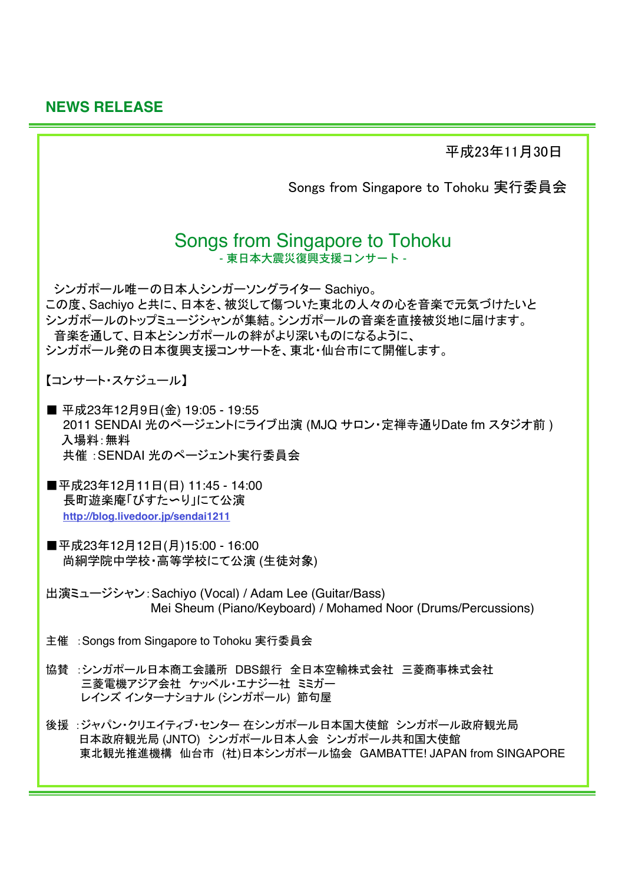**NEWS RELEASE** 

平成23年11月30日

Songs from Singapore to Tohoku 実行委員会

# **Songs from Singapore to Tohoku** - 東日本大震災復興支援コンサート -

シンガポール唯一の日本人シンガーソングライター Sachivo。 この度、Sachivo と共に、日本を、被災して傷ついた東北の人々の心を音楽で元気づけたいと シンガポールのトップミュージシャンが集結。シンガポールの音楽を直接被災地に届けます。 音楽を通して、日本とシンガポールの絆がより深いものになるように、 シンガポール発の日本復興支援コンサートを、東北・仙台市にて開催します。

【コンサート・スケジュール】

- 平成23年12月9日(金) 19:05 19:55 2011 SENDAI 光のページェントにライブ出演 (MJQ サロン・定禅寺通りDate fm スタジオ前) 入場料:無料 共催: SENDAI 光のページェント実行委員会
- ■平成23年12月11日(日) 11:45 14:00 長町遊楽庵「びすた〜り」にて公演 http://blog.livedoor.ip/sendai1211
- ■平成23年12月12日(月)15:00 16:00 尚絅学院中学校・高等学校にて公演 (生徒対象)
- 出演ミュージシャン: Sachivo (Vocal) / Adam Lee (Guitar/Bass) Mei Sheum (Piano/Keyboard) / Mohamed Noor (Drums/Percussions)
- 主催: Songs from Singapore to Tohoku 実行委員会
- 協賛 :シンガポール日本商工会議所 DBS銀行 全日本空輸株式会社 三菱商事株式会社 三菱電機アジア会社 ケッペル・エナジー社 ミミガー レインズ インターナショナル (シンガポール) 節句屋
- 後援 :ジャパン・クリエイティブ・センター 在シンガポール日本国大使館 シンガポール政府観光局 日本政府観光局 (JNTO) シンガポール日本人会 シンガポール共和国大使館 東北観光推進機構 仙台市 (社)日本シンガポール協会 GAMBATTE! JAPAN from SINGAPORE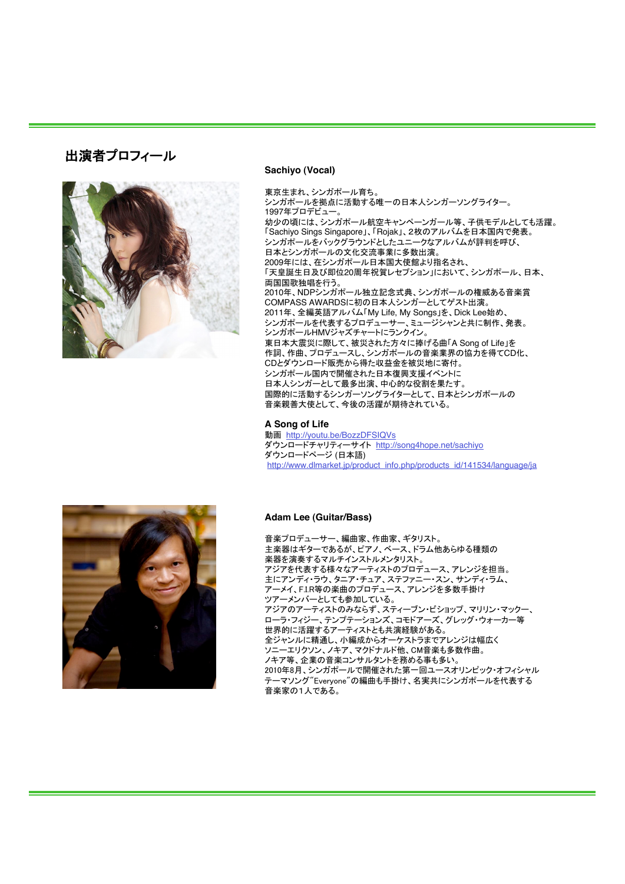## 出演者プロフィール



#### Sachiyo (Vocal)

東京生まれ、シンガポール育ち。 シンガポールを拠点に活動する唯一の日本人シンガーソングライター。 1997年プロデビュー 幼少の頃には、シンガポール航空キャンペーンガール等、子供モデルとしても活躍。 「Sachiyo Sings Singapore」、「Rojak」、2枚のアルバムを日本国内で発表。 シンガポールをバックグラウンドとしたユニークなアルバムが評判を呼び、 日本とシンガポールの文化交流事業に多数出演 「天皇誕生日及び即位20周年祝賀レセプション」において、シンガポール、日本、 両国国歌独唱を行う。 。<br>2010年、NDPシンガポール独立記念式典、シンガポールの権威ある音楽賞 COMPASS AWARDSに初の日本人シンガーとしてゲスト出演。 2011年、全編英語アルバム「My Life, My Songs」を、Dick Lee始め、 シンガポールを代表するプロデューサー、ミュージシャンと共に制作、発表。 -<br>シンガポールHMVジャズチャートにランクイン。 東日本大震災に際して、被災された方々に捧げる曲「A Song of Life」を 作詞、作曲、プロデュースし、シンガポールの音楽業界の協力を得てCD化、 CDとダウンロード販売から得た収益金を被災地に寄付。 シンガポール国内で開催された日本復興支援イベントに 日本人シンガーとして最多出演、中心的な役割を果たす。 国際的に活動するシンガーソングライターとして、日本とシンガポールの 音楽親善大使として、今後の活躍が期待されている。

#### A Song of Life

動画 http://youtu.be/BozzDFSIQVs ダウンロードチャリティーサイト http://song4hope.net/sachiyo -<br>ダウンロードページ (日本語) http://www.dlmarket.jp/product\_info.php/products\_id/141534/language/ja



#### **Adam Lee (Guitar/Bass)**

音楽プロデューサー、編曲家、作曲家、ギタリスト。 主楽器はギターであるが、ピアノ、ベース、ドラム他あらゆる種類の ーー……<br>楽器を演奏するマルチインストルメンタリスト。 主にアンディ・ラウ、タニア・チュア、ステファニー・スン、サンディ・ラム、 アーメイ、F.I.R等の楽曲のプロデュース、アレンジを多数手掛け ツアーメンバーとしても参加している。 アジアのアーティストのみならず、スティーブン・ビショップ、マリリン・マックー、 *- - - - . . . .*<br>ローラ・フィジー、テンプテーションズ、コモドアーズ、グレッグ・ウォーカー等 世界的に活躍するアーティストとも共演経験がある。 全ジャンルに精通し、小編成からオーケストラまでアレンジは幅広く ソニーエリクソン、ノキア、マクドナルド他、CM音楽も多数作曲。 ノキア等、企業の音楽コンサルタントを務める事も多い。 2010年8月、シンガポールで開催された第一回ユースオリンピック・オフィシャル テーマソング"Everyone"の編曲も手掛け、名実共にシンガポールを代表する 音楽家の1人である。